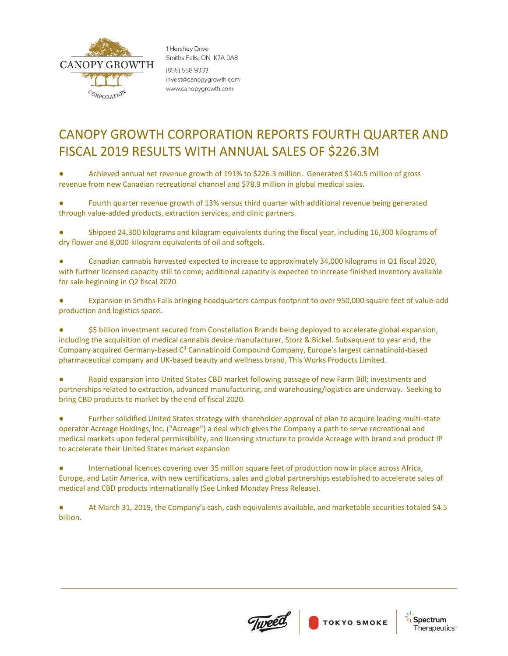

1 Hershev Drive Smiths Falls, ON K7A 0A8 (855) 558 9333 invest@canopygrowth.com www.canopygrowth.com

# CANOPY GROWTH CORPORATION REPORTS FOURTH QUARTER AND FISCAL 2019 RESULTS WITH ANNUAL SALES OF \$226.3M

● Achieved annual net revenue growth of 191% to \$226.3 million. Generated \$140.5 million of gross revenue from new Canadian recreational channel and \$78.9 million in global medical sales.

Fourth quarter revenue growth of 13% versus third quarter with additional revenue being generated through value-added products, extraction services, and clinic partners.

Shipped 24,300 kilograms and kilogram equivalents during the fiscal year, including 16,300 kilograms of dry flower and 8,000-kilogram equivalents of oil and softgels.

Canadian cannabis harvested expected to increase to approximately 34,000 kilograms in Q1 fiscal 2020, with further licensed capacity still to come; additional capacity is expected to increase finished inventory available for sale beginning in Q2 fiscal 2020.

Expansion in Smiths Falls bringing headquarters campus footprint to over 950,000 square feet of value-add production and logistics space.

\$5 billion investment secured from Constellation Brands being deployed to accelerate global expansion, including the acquisition of medical cannabis device manufacturer, Storz & Bickel. Subsequent to year end, the Company acquired Germany-based C<sup>3</sup> Cannabinoid Compound Company, Europe's largest cannabinoid-based pharmaceutical company and UK-based beauty and wellness brand, This Works Products Limited.

Rapid expansion into United States CBD market following passage of new Farm Bill; investments and partnerships related to extraction, advanced manufacturing, and warehousing/logistics are underway. Seeking to bring CBD products to market by the end of fiscal 2020.

Further solidified United States strategy with shareholder approval of plan to acquire leading multi-state operator Acreage Holdings, Inc. ("Acreage") a deal which gives the Company a path to serve recreational and medical markets upon federal permissibility, and licensing structure to provide Acreage with brand and product IP to accelerate their United States market expansion

International licences covering over 35 million square feet of production now in place across Africa, Europe, and Latin America, with new certifications, sales and global partnerships established to accelerate sales of medical and CBD products internationally (See Linked Monday Press Release).

● At March 31, 2019, the Company's cash, cash equivalents available, and marketable securities totaled \$4.5 billion.



**TOKYO SMOKE** 

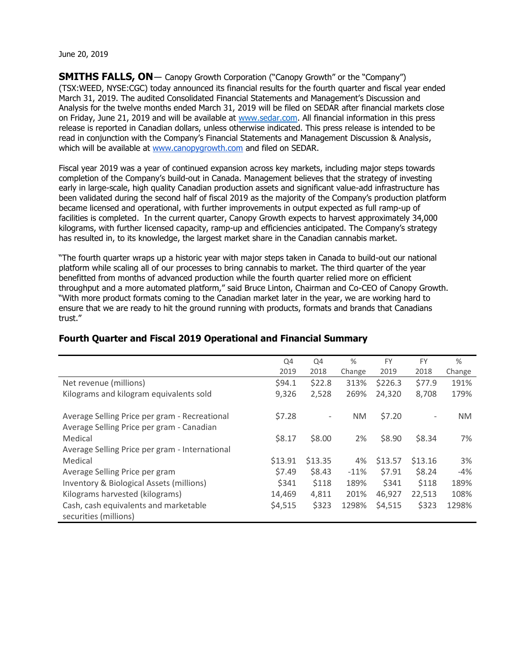June 20, 2019

**SMITHS FALLS, ON**— Canopy Growth Corporation ("Canopy Growth" or the "Company") (TSX:WEED, NYSE:CGC) today announced its financial results for the fourth quarter and fiscal year ended March 31, 2019. The audited Consolidated Financial Statements and Management's Discussion and Analysis for the twelve months ended March 31, 2019 will be filed on SEDAR after financial markets close on Friday, June 21, 2019 and will be available at [www.sedar.com.](http://www.sedar.com/) All financial information in this press release is reported in Canadian dollars, unless otherwise indicated. This press release is intended to be read in conjunction with the Company's Financial Statements and Management Discussion & Analysis, which will be available at [www.canopygrowth.com](http://www.canopygrowth.com/) and filed on SEDAR.

Fiscal year 2019 was a year of continued expansion across key markets, including major steps towards completion of the Company's build-out in Canada. Management believes that the strategy of investing early in large-scale, high quality Canadian production assets and significant value-add infrastructure has been validated during the second half of fiscal 2019 as the majority of the Company's production platform became licensed and operational, with further improvements in output expected as full ramp-up of facilities is completed. In the current quarter, Canopy Growth expects to harvest approximately 34,000 kilograms, with further licensed capacity, ramp-up and efficiencies anticipated. The Company's strategy has resulted in, to its knowledge, the largest market share in the Canadian cannabis market.

"The fourth quarter wraps up a historic year with major steps taken in Canada to build-out our national platform while scaling all of our processes to bring cannabis to market. The third quarter of the year benefitted from months of advanced production while the fourth quarter relied more on efficient throughput and a more automated platform," said Bruce Linton, Chairman and Co-CEO of Canopy Growth. "With more product formats coming to the Canadian market later in the year, we are working hard to ensure that we are ready to hit the ground running with products, formats and brands that Canadians trust."

|                                                | Q4      | Q4                       | %         | <b>FY</b> | <b>FY</b>                | %      |
|------------------------------------------------|---------|--------------------------|-----------|-----------|--------------------------|--------|
|                                                | 2019    | 2018                     | Change    | 2019      | 2018                     | Change |
| Net revenue (millions)                         | \$94.1  | \$22.8                   | 313%      | \$226.3   | \$77.9                   | 191%   |
| Kilograms and kilogram equivalents sold        | 9,326   | 2,528                    | 269%      | 24,320    | 8,708                    | 179%   |
|                                                |         |                          |           |           |                          |        |
| Average Selling Price per gram - Recreational  | \$7.28  | $\overline{\phantom{a}}$ | <b>NM</b> | \$7.20    | $\overline{\phantom{a}}$ | NM.    |
| Average Selling Price per gram - Canadian      |         |                          |           |           |                          |        |
| Medical                                        | \$8.17  | \$8.00                   | 2%        | \$8.90    | \$8.34                   | 7%     |
| Average Selling Price per gram - International |         |                          |           |           |                          |        |
| Medical                                        | \$13.91 | \$13.35                  | 4%        | \$13.57   | \$13.16                  | 3%     |
| Average Selling Price per gram                 | \$7.49  | \$8.43                   | $-11%$    | \$7.91    | \$8.24                   | $-4%$  |
| Inventory & Biological Assets (millions)       | \$341   | \$118                    | 189%      | \$341     | \$118                    | 189%   |
| Kilograms harvested (kilograms)                | 14,469  | 4,811                    | 201%      | 46,927    | 22,513                   | 108%   |
| Cash, cash equivalents and marketable          | \$4,515 | \$323                    | 1298%     | \$4,515   | \$323                    | 1298%  |
| securities (millions)                          |         |                          |           |           |                          |        |

# **Fourth Quarter and Fiscal 2019 Operational and Financial Summary**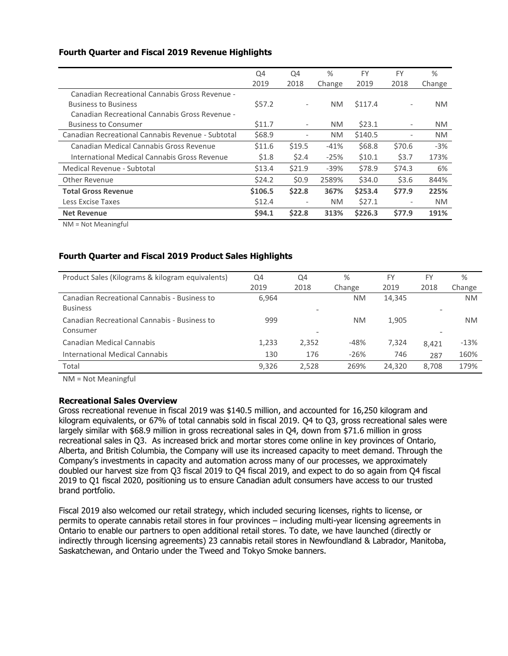# **Fourth Quarter and Fiscal 2019 Revenue Highlights**

|                                                   | Q4                | Q4                       | $\%$      | <b>FY</b> | FY                       | $\%$      |
|---------------------------------------------------|-------------------|--------------------------|-----------|-----------|--------------------------|-----------|
|                                                   | 2019              | 2018                     | Change    | 2019      | 2018                     | Change    |
| Canadian Recreational Cannabis Gross Revenue -    |                   |                          |           |           |                          |           |
| <b>Business to Business</b>                       | \$57.2            | $\overline{\phantom{a}}$ | <b>NM</b> | \$117.4   |                          | <b>NM</b> |
| Canadian Recreational Cannabis Gross Revenue -    |                   |                          |           |           |                          |           |
| <b>Business to Consumer</b>                       | S <sub>11.7</sub> | $\overline{\phantom{a}}$ | NM.       | \$23.1    | $\overline{\phantom{a}}$ | <b>NM</b> |
| Canadian Recreational Cannabis Revenue - Subtotal | \$68.9            |                          | <b>NM</b> | \$140.5   |                          | <b>NM</b> |
| Canadian Medical Cannabis Gross Revenue           | \$11.6            | \$19.5                   | $-41%$    | \$68.8    | \$70.6                   | $-3%$     |
| International Medical Cannabis Gross Revenue      | \$1.8             | \$2.4                    | $-25%$    | \$10.1    | \$3.7                    | 173%      |
| Medical Revenue - Subtotal                        | \$13.4            | \$21.9                   | $-39%$    | \$78.9    | \$74.3                   | 6%        |
| Other Revenue                                     | \$24.2            | \$0.9                    | 2589%     | \$34.0    | \$3.6                    | 844%      |
| <b>Total Gross Revenue</b>                        | \$106.5           | \$22.8                   | 367%      | \$253.4   | \$77.9                   | 225%      |
| Less Excise Taxes                                 | \$12.4            | $\overline{\phantom{a}}$ | <b>NM</b> | \$27.1    |                          | <b>NM</b> |
| <b>Net Revenue</b>                                | \$94.1            | \$22.8                   | 313%      | \$226.3   | \$77.9                   | 191%      |

NM = Not Meaningful

## **Fourth Quarter and Fiscal 2019 Product Sales Highlights**

| Product Sales (Kilograms & kilogram equivalents) | Q4    | Q4    | $\%$      | FY     | FY                       | $\frac{0}{0}$ |
|--------------------------------------------------|-------|-------|-----------|--------|--------------------------|---------------|
|                                                  | 2019  | 2018  | Change    | 2019   | 2018                     | Change        |
| Canadian Recreational Cannabis - Business to     | 6,964 |       | <b>NM</b> | 14,345 |                          | <b>NM</b>     |
| <b>Business</b>                                  |       |       |           |        | $\overline{\phantom{0}}$ |               |
| Canadian Recreational Cannabis - Business to     | 999   |       | <b>NM</b> | 1,905  |                          | <b>NM</b>     |
| Consumer                                         |       |       |           |        |                          |               |
| Canadian Medical Cannabis                        | 1,233 | 2,352 | $-48%$    | 7,324  | 8,421                    | $-13%$        |
| International Medical Cannabis                   | 130   | 176   | $-26%$    | 746    | 287                      | 160%          |
| Total                                            | 9,326 | 2,528 | 269%      | 24,320 | 8,708                    | 179%          |

NM = Not Meaningful

#### **Recreational Sales Overview**

Gross recreational revenue in fiscal 2019 was \$140.5 million, and accounted for 16,250 kilogram and kilogram equivalents, or 67% of total cannabis sold in fiscal 2019. Q4 to Q3, gross recreational sales were largely similar with \$68.9 million in gross recreational sales in Q4, down from \$71.6 million in gross recreational sales in Q3. As increased brick and mortar stores come online in key provinces of Ontario, Alberta, and British Columbia, the Company will use its increased capacity to meet demand. Through the Company's investments in capacity and automation across many of our processes, we approximately doubled our harvest size from Q3 fiscal 2019 to Q4 fiscal 2019, and expect to do so again from Q4 fiscal 2019 to Q1 fiscal 2020, positioning us to ensure Canadian adult consumers have access to our trusted brand portfolio.

Fiscal 2019 also welcomed our retail strategy, which included securing licenses, rights to license, or permits to operate cannabis retail stores in four provinces – including multi-year licensing agreements in Ontario to enable our partners to open additional retail stores. To date, we have launched (directly or indirectly through licensing agreements) 23 cannabis retail stores in Newfoundland & Labrador, Manitoba, Saskatchewan, and Ontario under the Tweed and Tokyo Smoke banners.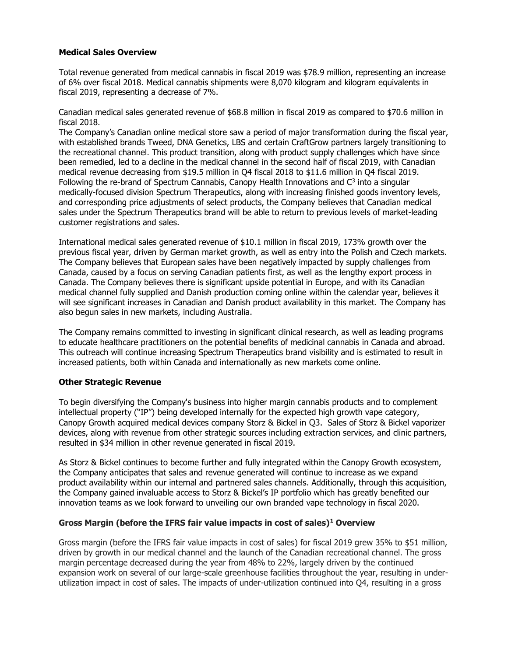# **Medical Sales Overview**

Total revenue generated from medical cannabis in fiscal 2019 was \$78.9 million, representing an increase of 6% over fiscal 2018. Medical cannabis shipments were 8,070 kilogram and kilogram equivalents in fiscal 2019, representing a decrease of 7%.

Canadian medical sales generated revenue of \$68.8 million in fiscal 2019 as compared to \$70.6 million in fiscal 2018.

The Company's Canadian online medical store saw a period of major transformation during the fiscal year, with established brands Tweed, DNA Genetics, LBS and certain CraftGrow partners largely transitioning to the recreational channel. This product transition, along with product supply challenges which have since been remedied, led to a decline in the medical channel in the second half of fiscal 2019, with Canadian medical revenue decreasing from \$19.5 million in Q4 fiscal 2018 to \$11.6 million in Q4 fiscal 2019. Following the re-brand of Spectrum Cannabis, Canopy Health Innovations and  $C<sup>3</sup>$  into a singular medically-focused division Spectrum Therapeutics, along with increasing finished goods inventory levels, and corresponding price adjustments of select products, the Company believes that Canadian medical sales under the Spectrum Therapeutics brand will be able to return to previous levels of market-leading customer registrations and sales.

International medical sales generated revenue of \$10.1 million in fiscal 2019, 173% growth over the previous fiscal year, driven by German market growth, as well as entry into the Polish and Czech markets. The Company believes that European sales have been negatively impacted by supply challenges from Canada, caused by a focus on serving Canadian patients first, as well as the lengthy export process in Canada. The Company believes there is significant upside potential in Europe, and with its Canadian medical channel fully supplied and Danish production coming online within the calendar year, believes it will see significant increases in Canadian and Danish product availability in this market. The Company has also begun sales in new markets, including Australia.

The Company remains committed to investing in significant clinical research, as well as leading programs to educate healthcare practitioners on the potential benefits of medicinal cannabis in Canada and abroad. This outreach will continue increasing Spectrum Therapeutics brand visibility and is estimated to result in increased patients, both within Canada and internationally as new markets come online.

# **Other Strategic Revenue**

To begin diversifying the Company's business into higher margin cannabis products and to complement intellectual property ("IP") being developed internally for the expected high growth vape category, Canopy Growth acquired medical devices company Storz & Bickel in Q3. Sales of Storz & Bickel vaporizer devices, along with revenue from other strategic sources including extraction services, and clinic partners, resulted in \$34 million in other revenue generated in fiscal 2019.

As Storz & Bickel continues to become further and fully integrated within the Canopy Growth ecosystem, the Company anticipates that sales and revenue generated will continue to increase as we expand product availability within our internal and partnered sales channels. Additionally, through this acquisition, the Company gained invaluable access to Storz & Bickel's IP portfolio which has greatly benefited our innovation teams as we look forward to unveiling our own branded vape technology in fiscal 2020.

#### **Gross Margin (before the IFRS fair value impacts in cost of sales)<sup>1</sup> Overview**

Gross margin (before the IFRS fair value impacts in cost of sales) for fiscal 2019 grew 35% to \$51 million, driven by growth in our medical channel and the launch of the Canadian recreational channel. The gross margin percentage decreased during the year from 48% to 22%, largely driven by the continued expansion work on several of our large-scale greenhouse facilities throughout the year, resulting in underutilization impact in cost of sales. The impacts of under-utilization continued into Q4, resulting in a gross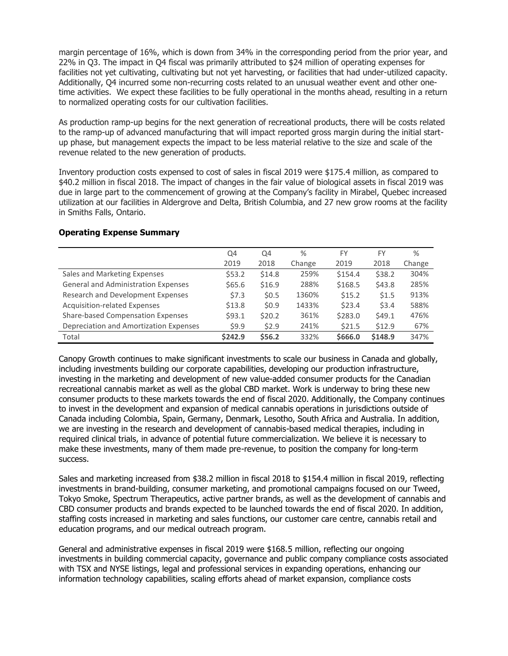margin percentage of 16%, which is down from 34% in the corresponding period from the prior year, and 22% in Q3. The impact in Q4 fiscal was primarily attributed to \$24 million of operating expenses for facilities not yet cultivating, cultivating but not yet harvesting, or facilities that had under-utilized capacity. Additionally, Q4 incurred some non-recurring costs related to an unusual weather event and other onetime activities. We expect these facilities to be fully operational in the months ahead, resulting in a return to normalized operating costs for our cultivation facilities.

As production ramp-up begins for the next generation of recreational products, there will be costs related to the ramp-up of advanced manufacturing that will impact reported gross margin during the initial startup phase, but management expects the impact to be less material relative to the size and scale of the revenue related to the new generation of products.

Inventory production costs expensed to cost of sales in fiscal 2019 were \$175.4 million, as compared to \$40.2 million in fiscal 2018. The impact of changes in the fair value of biological assets in fiscal 2019 was due in large part to the commencement of growing at the Company's facility in Mirabel, Quebec increased utilization at our facilities in Aldergrove and Delta, British Columbia, and 27 new grow rooms at the facility in Smiths Falls, Ontario.

|                                            | Q4      | Q4     | %      | FY      | FY      | $\%$   |
|--------------------------------------------|---------|--------|--------|---------|---------|--------|
|                                            | 2019    | 2018   | Change | 2019    | 2018    | Change |
| Sales and Marketing Expenses               | \$53.2  | \$14.8 | 259%   | \$154.4 | \$38.2  | 304%   |
| <b>General and Administration Expenses</b> | \$65.6  | \$16.9 | 288%   | \$168.5 | \$43.8  | 285%   |
| Research and Development Expenses          | \$7.3   | \$0.5  | 1360%  | \$15.2  | \$1.5   | 913%   |
| <b>Acquisition-related Expenses</b>        | \$13.8  | \$0.9  | 1433%  | \$23.4  | \$3.4   | 588%   |
| Share-based Compensation Expenses          | \$93.1  | \$20.2 | 361%   | \$283.0 | \$49.1  | 476%   |
| Depreciation and Amortization Expenses     | \$9.9   | \$2.9  | 241%   | \$21.5  | \$12.9  | 67%    |
| Total                                      | \$242.9 | \$56.2 | 332%   | \$666.0 | \$148.9 | 347%   |

# **Operating Expense Summary**

Canopy Growth continues to make significant investments to scale our business in Canada and globally, including investments building our corporate capabilities, developing our production infrastructure, investing in the marketing and development of new value-added consumer products for the Canadian recreational cannabis market as well as the global CBD market. Work is underway to bring these new consumer products to these markets towards the end of fiscal 2020. Additionally, the Company continues to invest in the development and expansion of medical cannabis operations in jurisdictions outside of Canada including Colombia, Spain, Germany, Denmark, Lesotho, South Africa and Australia. In addition, we are investing in the research and development of cannabis-based medical therapies, including in required clinical trials, in advance of potential future commercialization. We believe it is necessary to make these investments, many of them made pre-revenue, to position the company for long-term success.

Sales and marketing increased from \$38.2 million in fiscal 2018 to \$154.4 million in fiscal 2019, reflecting investments in brand-building, consumer marketing, and promotional campaigns focused on our Tweed, Tokyo Smoke, Spectrum Therapeutics, active partner brands, as well as the development of cannabis and CBD consumer products and brands expected to be launched towards the end of fiscal 2020. In addition, staffing costs increased in marketing and sales functions, our customer care centre, cannabis retail and education programs, and our medical outreach program.

General and administrative expenses in fiscal 2019 were \$168.5 million, reflecting our ongoing investments in building commercial capacity, governance and public company compliance costs associated with TSX and NYSE listings, legal and professional services in expanding operations, enhancing our information technology capabilities, scaling efforts ahead of market expansion, compliance costs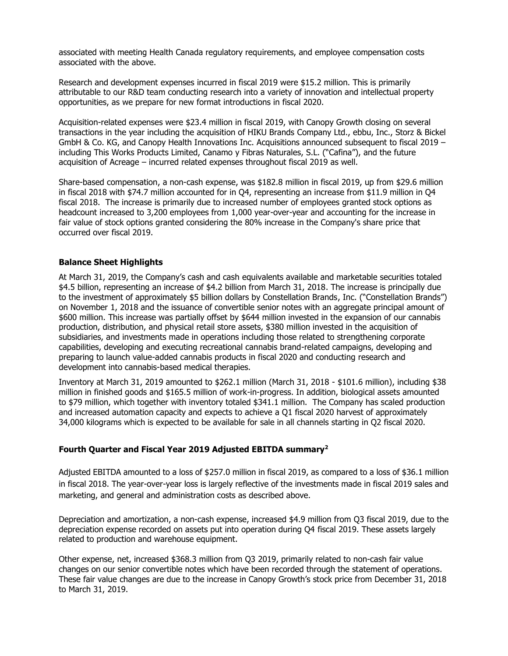associated with meeting Health Canada regulatory requirements, and employee compensation costs associated with the above.

Research and development expenses incurred in fiscal 2019 were \$15.2 million. This is primarily attributable to our R&D team conducting research into a variety of innovation and intellectual property opportunities, as we prepare for new format introductions in fiscal 2020.

Acquisition-related expenses were \$23.4 million in fiscal 2019, with Canopy Growth closing on several transactions in the year including the acquisition of HIKU Brands Company Ltd., ebbu, Inc., Storz & Bickel GmbH & Co. KG, and Canopy Health Innovations Inc. Acquisitions announced subsequent to fiscal 2019 – including This Works Products Limited, Canamo y Fibras Naturales, S.L. ("Cafina"), and the future acquisition of Acreage – incurred related expenses throughout fiscal 2019 as well.

Share-based compensation, a non-cash expense, was \$182.8 million in fiscal 2019, up from \$29.6 million in fiscal 2018 with \$74.7 million accounted for in Q4, representing an increase from \$11.9 million in Q4 fiscal 2018. The increase is primarily due to increased number of employees granted stock options as headcount increased to 3,200 employees from 1,000 year-over-year and accounting for the increase in fair value of stock options granted considering the 80% increase in the Company's share price that occurred over fiscal 2019.

# **Balance Sheet Highlights**

At March 31, 2019, the Company's cash and cash equivalents available and marketable securities totaled \$4.5 billion, representing an increase of \$4.2 billion from March 31, 2018. The increase is principally due to the investment of approximately \$5 billion dollars by Constellation Brands, Inc. ("Constellation Brands") on November 1, 2018 and the issuance of convertible senior notes with an aggregate principal amount of \$600 million. This increase was partially offset by \$644 million invested in the expansion of our cannabis production, distribution, and physical retail store assets, \$380 million invested in the acquisition of subsidiaries, and investments made in operations including those related to strengthening corporate capabilities, developing and executing recreational cannabis brand-related campaigns, developing and preparing to launch value-added cannabis products in fiscal 2020 and conducting research and development into cannabis-based medical therapies.

Inventory at March 31, 2019 amounted to \$262.1 million (March 31, 2018 - \$101.6 million), including \$38 million in finished goods and \$165.5 million of work-in-progress. In addition, biological assets amounted to \$79 million, which together with inventory totaled \$341.1 million. The Company has scaled production and increased automation capacity and expects to achieve a Q1 fiscal 2020 harvest of approximately 34,000 kilograms which is expected to be available for sale in all channels starting in Q2 fiscal 2020.

# **Fourth Quarter and Fiscal Year 2019 Adjusted EBITDA summary<sup>2</sup>**

Adjusted EBITDA amounted to a loss of \$257.0 million in fiscal 2019, as compared to a loss of \$36.1 million in fiscal 2018. The year-over-year loss is largely reflective of the investments made in fiscal 2019 sales and marketing, and general and administration costs as described above.

Depreciation and amortization, a non-cash expense, increased \$4.9 million from Q3 fiscal 2019, due to the depreciation expense recorded on assets put into operation during Q4 fiscal 2019. These assets largely related to production and warehouse equipment.

Other expense, net, increased \$368.3 million from Q3 2019, primarily related to non-cash fair value changes on our senior convertible notes which have been recorded through the statement of operations. These fair value changes are due to the increase in Canopy Growth's stock price from December 31, 2018 to March 31, 2019.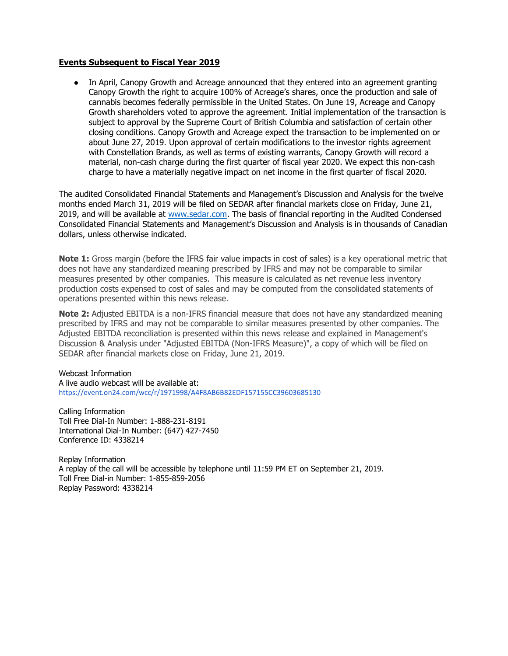## **Events Subsequent to Fiscal Year 2019**

● In April, Canopy Growth and Acreage announced that they entered into an agreement granting Canopy Growth the right to acquire 100% of Acreage's shares, once the production and sale of cannabis becomes federally permissible in the United States. On June 19, Acreage and Canopy Growth shareholders voted to approve the agreement. Initial implementation of the transaction is subject to approval by the Supreme Court of British Columbia and satisfaction of certain other closing conditions. Canopy Growth and Acreage expect the transaction to be implemented on or about June 27, 2019. Upon approval of certain modifications to the investor rights agreement with Constellation Brands, as well as terms of existing warrants, Canopy Growth will record a material, non-cash charge during the first quarter of fiscal year 2020. We expect this non-cash charge to have a materially negative impact on net income in the first quarter of fiscal 2020.

The audited Consolidated Financial Statements and Management's Discussion and Analysis for the twelve months ended March 31, 2019 will be filed on SEDAR after financial markets close on Friday, June 21, 2019, and will be available at [www.sedar.com.](http://www.sedar.com/) The basis of financial reporting in the Audited Condensed Consolidated Financial Statements and Management's Discussion and Analysis is in thousands of Canadian dollars, unless otherwise indicated.

**Note 1:** Gross margin (before the IFRS fair value impacts in cost of sales) is a key operational metric that does not have any standardized meaning prescribed by IFRS and may not be comparable to similar measures presented by other companies. This measure is calculated as net revenue less inventory production costs expensed to cost of sales and may be computed from the consolidated statements of operations presented within this news release.

**Note 2:** Adjusted EBITDA is a non-IFRS financial measure that does not have any standardized meaning prescribed by IFRS and may not be comparable to similar measures presented by other companies. The Adjusted EBITDA reconciliation is presented within this news release and explained in Management's Discussion & Analysis under "Adjusted EBITDA (Non-IFRS Measure)", a copy of which will be filed on SEDAR after financial markets close on Friday, June 21, 2019.

Webcast Information A live audio webcast will be available at: [https://event.on24.com/wcc/r/1971998/A4F8AB6B82EDF157155CC39603685130](https://urldefense.proofpoint.com/v2/url?u=https-3A__event.on24.com_wcc_r_1971998_A4F8AB6B82EDF157155CC39603685130&d=DwMGaQ&c=UFQ_BMy7tXj0BMkmVOxFX4e3i90RZMjSpqUlPwQ3gLk&r=LHH79YLAacDJ9mIxypppGhGDbRbxmLsksdSBTq29Lag&m=9VMbMqm0hjwe7REZwD6jDNswgj3pMY-FxxQoejf_caQ&s=h0Xp8kOoZbvQL9XBZUUxyCv2SqyoybSAPsUiLibK2KY&e=)

Calling Information Toll Free Dial-In Number: 1-888-231-8191 International Dial-In Number: (647) 427-7450 Conference ID: 4338214

Replay Information A replay of the call will be accessible by telephone until 11:59 PM ET on September 21, 2019. Toll Free Dial-in Number: 1-855-859-2056 Replay Password: 4338214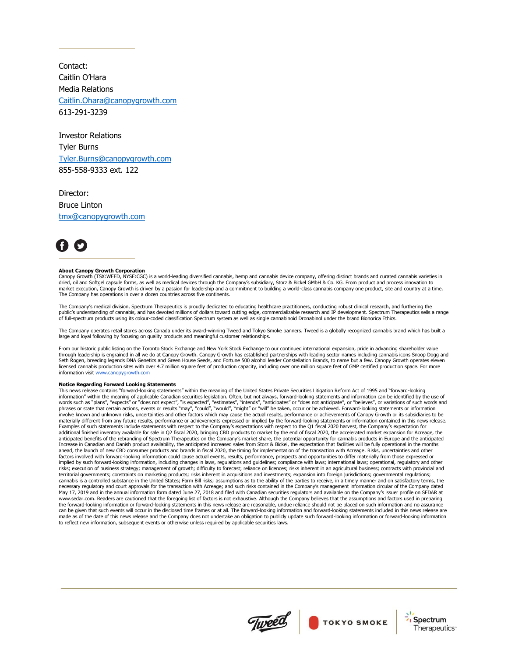Contact: Caitlin O'Hara Media Relations [Caitlin.Ohara@canopygrowth.com](mailto:Caitlin.Ohara@canopygrowth.com) 613-291-3239

Investor Relations Tyler Burns [Tyler.Burns@canopygrowth.com](mailto:Tyler.Burns@canopygrowth.com) 855-558-9333 ext. 122

Director: Bruce Linton [tmx@canopygrowth.com](mailto:tmx@canopygrowth.com)



#### **About Canopy Growth Corporation**

Canopy Growth (TSX:WEED, NYSE:CGC) is a world-leading diversified cannabis, hemp and cannabis device company, offering distinct brands and curated cannabis varieties in dried, oil and Softgel capsule forms, as well as medical devices through the Company's subsidiary, Storz & Bickel GMbH & Co. KG. From product and process innovation to market execution, Canopy Growth is driven by a passion for leadership and a commitment to building a world-class cannabis company one product, site and country at a time. The Company has operations in over a dozen countries across five continents.

The Company's medical division, Spectrum Therapeutics is proudly dedicated to educating healthcare practitioners, conducting robust clinical research, and furthering the public's understanding of cannabis, and has devoted millions of dollars toward cutting edge, commercializable research and IP development. Spectrum Therapeutics sells a range of full-spectrum products using its colour-coded classification Spectrum system as well as single cannabinoid Dronabinol under the brand Bionorica Ethics.

The Company operates retail stores across Canada under its award-winning Tweed and Tokyo Smoke banners. Tweed is a globally recognized cannabis brand which has built a large and loyal following by focusing on quality products and meaningful customer relationships.

From our historic public listing on the Toronto Stock Exchange and New York Stock Exchange to our continued international expansion, pride in advancing shareholder value through leadership is engrained in all we do at Canopy Growth. Canopy Growth has established partnerships with leading sector names including cannabis icons Snoop Dogg and Seth Rogen, breeding legends DNA Genetics and Green House Seeds, and Fortune 500 alcohol leader Constellation Brands, to name but a few. Canopy Growth operates eleve licensed cannabis production sites with over 4.7 million square feet of production capacity, including over one million square feet of GMP certified production space. For more information visi[t www.canopygrowth.com](http://canopygrowth.com/)

#### **Notice Regarding Forward Looking Statements**

This news release contains "forward-looking statements" within the meaning of the United States Private Securities Litigation Reform Act of 1995 and "forward-looking<br>information" within the meaning of applicable Canadian s involve known and unknown risks, uncertainties and other factors which may cause the actual results, performance or achievements of Canopy Growth or its subsidiaries to be<br>materially different from any future results, perf Examples of such statements include statements with respect to the Company's expectations with respect to the Q1 fiscal 2020 harvest, the Company's expectation for additional finished inventory available for sale in Q2 fiscal 2020, bringing CBD products to market by the end of fiscal 2020, the accelerated market expansion for Acreage, the anticipated benefits of the rebranding of Spectrum Therapeutics on the Company's market share, the potential opportunity for cannabis products in Europe and the anticipated Increase in Canadian and Danish product availability, the anticipated increased sales from Storz & Bickel, the expectation that facilities will be fully operational in the months<br>ahead, the launch of new CBD consumer produ factors involved with forward-looking information could cause actual events, results, performance, prospects and opportunities to differ materially from those expressed or implied by such forward-looking information, including changes in laws, regulations and guidelines; compliance with laws; international laws; operational, regulatory and other<br>risks; execution of business strategy; managem territorial governments; constraints on marketing products; risks inherent in acquisitions and investments; expansion into foreign jurisdictions; governmental regulations; cannabis is a controlled substance in the United States; Farm Bill risks; assumptions as to the ability of the parties to receive, in a timely manner and on satisfactory terms, the necessary regulatory and court approvals for the transaction with Acreage; and such risks contained in the Company's management information circular of the Company dated<br>May 17, 2019 and in the annual information form date www.sedar.com. Readers are cautioned that the foregoing list of factors is not exhaustive. Although the Company believes that the assumptions and factors used in preparing the forward-looking information or forward-looking statements in this news release are reasonable, undue reliance should not be placed on such information and no assurance can be given that such events will occur in the disclosed time frames or at all. The forward-looking information and forward-looking statements included in this news release are<br>made as of the date of this news release and



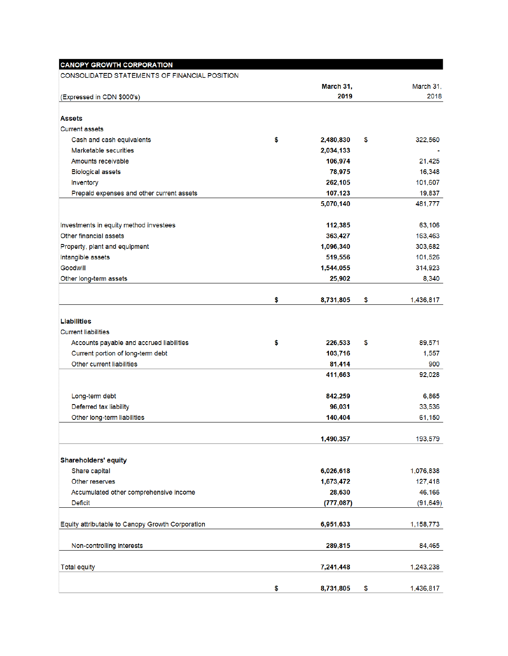| <b>CANOPY GROWTH CORPORATION</b>                                 |           |           |    |           |  |
|------------------------------------------------------------------|-----------|-----------|----|-----------|--|
| CONSOLIDATED STATEMENTS OF FINANCIAL POSITION                    |           |           |    |           |  |
|                                                                  | March 31, |           |    |           |  |
| (Expressed in CDN \$000's)                                       |           | 2019      |    | 2018      |  |
| <b>Assets</b>                                                    |           |           |    |           |  |
| <b>Current assets</b>                                            |           |           |    |           |  |
| Cash and cash equivalents                                        | \$        | 2,480,830 | \$ | 322,560   |  |
| Marketable securities                                            |           | 2,034,133 |    |           |  |
| Amounts receivable                                               |           | 106,974   |    | 21.425    |  |
| <b>Biological assets</b>                                         |           | 78,975    |    | 16,348    |  |
| Inventory                                                        |           | 262,105   |    | 101,607   |  |
| Prepaid expenses and other current assets                        |           | 107,123   |    | 19,837    |  |
|                                                                  |           | 5,070,140 |    | 481,777   |  |
|                                                                  |           |           |    |           |  |
| Investments in equity method investees<br>Other financial assets |           | 112,385   |    | 63,106    |  |
|                                                                  |           | 363,427   |    | 163,463   |  |
| Property, plant and equipment                                    |           | 1,096,340 |    | 303,682   |  |
| Intangible assets                                                |           | 519,556   |    | 101,526   |  |
| Goodwill                                                         |           | 1,544,055 |    | 314,923   |  |
| Other long-term assets                                           |           | 25,902    |    | 8,340     |  |
|                                                                  | \$        | 8,731,805 | \$ | 1,436,817 |  |
|                                                                  |           |           |    |           |  |
| <b>Liabilities</b>                                               |           |           |    |           |  |
| <b>Current liabilities</b>                                       |           |           |    |           |  |
| Accounts payable and accrued liabilities                         | \$        | 226,533   | \$ | 89,571    |  |
| Current portion of long-term debt                                |           | 103,716   |    | 1,557     |  |
| Other current liabilities                                        |           | 81,414    |    | 900       |  |
|                                                                  |           | 411,663   |    | 92,028    |  |
| Long-term debt                                                   |           | 842,259   |    | 6.865     |  |
| Deferred tax liability                                           |           | 96,031    |    | 33,536    |  |
| Other long-term liabilities                                      |           | 140,404   |    | 61,150    |  |
|                                                                  |           |           |    |           |  |
|                                                                  |           | 1,490,357 |    | 193,579   |  |
| <b>Shareholders' equity</b>                                      |           |           |    |           |  |
| Share capital                                                    |           | 6,026,618 |    | 1,076,838 |  |
| Other reserves                                                   |           | 1,673,472 |    | 127,418   |  |
| Accumulated other comprehensive income                           |           | 28,630    |    | 46,166    |  |
| Deficit                                                          |           | (777,087) |    | (91, 649) |  |
|                                                                  |           |           |    |           |  |
| Equity attributable to Canopy Growth Corporation                 |           | 6,951,633 |    | 1,158,773 |  |
| Non-controlling interests                                        |           | 289,815   |    | 84,465    |  |
| <b>Total equity</b>                                              |           | 7,241,448 |    | 1,243,238 |  |
|                                                                  |           |           |    |           |  |
|                                                                  | \$        | 8,731,805 | \$ | 1,436,817 |  |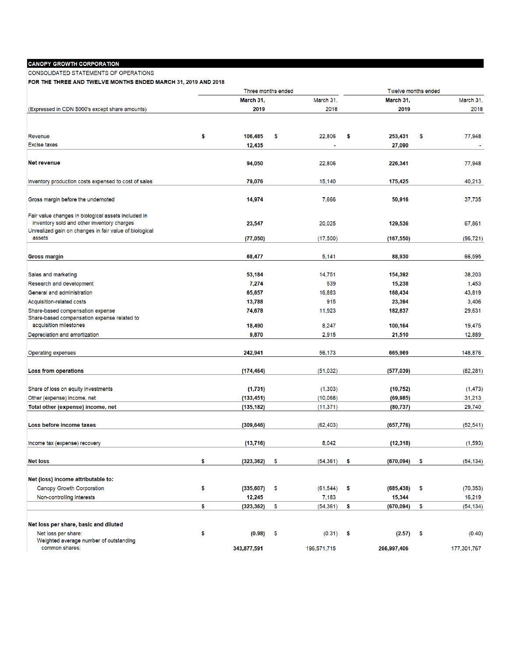#### **CANOPY GROWTH CORPORATION**

CONSOLIDATED STATEMENTS OF OPERATIONS

#### FOR THE THREE AND TWELVE MONTHS ENDED MARCH 31, 2019 AND 2018

|                                                                                                   | Three months ended |                   | Twelve months ended |             |    |             |
|---------------------------------------------------------------------------------------------------|--------------------|-------------------|---------------------|-------------|----|-------------|
|                                                                                                   | March 31,          | March 31.         |                     | March 31,   |    | March 31.   |
| (Expressed in CDN \$000's except share amounts)                                                   | 2019               | 2018              |                     | 2019        |    | 2018        |
|                                                                                                   |                    |                   |                     |             |    |             |
| Revenue                                                                                           | \$<br>106,485      | \$<br>22,806      | \$                  | 253,431     | \$ | 77.948      |
| <b>Excise taxes</b>                                                                               | 12,435             |                   |                     | 27,090      |    |             |
|                                                                                                   |                    |                   |                     |             |    |             |
| Net revenue                                                                                       | 94,050             | 22,806            |                     | 226,341     |    | 77,948      |
| Inventory production costs expensed to cost of sales                                              | 79,076             | 15,140            |                     | 175,425     |    | 40,213      |
| Gross margin before the undernoted                                                                | 14,974             | 7,666             |                     | 50,916      |    | 37,735      |
| Fair value changes in biological assets included in<br>inventory sold and other inventory charges | 23,547             | 20,025            |                     | 129,536     |    | 67,861      |
| Unrealized gain on changes in fair value of biological<br>assets                                  | (77,050)           | (17, 500)         |                     | (167, 550)  |    | (96, 721)   |
| Gross margin                                                                                      | 68,477             | 5,141             |                     | 88,930      |    | 66,595      |
| Sales and marketing                                                                               | 53,184             | 14,751            |                     | 154,392     |    | 38,203      |
| Research and development                                                                          | 7,274              | 539               |                     | 15,238      |    | 1,453       |
| General and administration                                                                        | 65,657             | 16,883            |                     | 168,434     |    | 43,819      |
| <b>Acquisition-related costs</b>                                                                  | 13,788             | 915               |                     | 23,394      |    | 3,406       |
| Share-based compensation expense                                                                  | 74,678             | 11,923            |                     | 182,837     |    | 29,631      |
| Share-based compensation expense related to                                                       |                    |                   |                     |             |    |             |
| acquisition milestones                                                                            | 18,490             | 8,247             |                     | 100,164     |    | 19,475      |
| Depreciation and amortization                                                                     | 9,870              | 2,915             |                     | 21,510      |    | 12,889      |
| <b>Operating expenses</b>                                                                         | 242,941            | 56,173            |                     | 665,969     |    | 148,876     |
|                                                                                                   |                    |                   |                     |             |    |             |
| <b>Loss from operations</b>                                                                       | (174, 464)         | (51, 032)         |                     | (577, 039)  |    | (82, 281)   |
| Share of loss on equity investments                                                               | (1,731)            | (1, 303)          |                     | (10, 752)   |    | (1, 473)    |
| Other (expense) income, net                                                                       | (133, 451)         | (10,068)          |                     | (69, 985)   |    | 31,213      |
| Total other (expense) income, net                                                                 | (135, 182)         | (11, 371)         |                     | (80, 737)   |    | 29,740      |
| Loss before income taxes                                                                          | (309, 646)         | (62, 403)         |                     | (657, 776)  |    | (52, 541)   |
| Income tax (expense) recovery                                                                     | (13, 716)          | 8,042             |                     | (12, 318)   |    | (1, 593)    |
| Net loss                                                                                          | \$<br>(323, 362)   | \$<br>(54, 361)   | \$                  | (670, 094)  | \$ | (54, 134)   |
| Net (loss) income attributable to:                                                                |                    |                   |                     |             |    |             |
| <b>Canopy Growth Corporation</b>                                                                  | \$<br>(335, 607)   | \$<br>(61, 544)   | \$                  | (685, 438)  | \$ | (70, 353)   |
| Non-controlling interests                                                                         | 12,245             | 7,183             |                     | 15,344      |    | 16,219      |
|                                                                                                   | \$<br>(323, 362)   | \$<br>(54, 361)   | \$                  | (670, 094)  | \$ | (54, 134)   |
| Net loss per share, basic and diluted                                                             |                    |                   |                     |             |    |             |
| Net loss per share:                                                                               | \$<br>(0.98)       | \$<br>$(0.31)$ \$ |                     | $(2.57)$ \$ |    | (0.40)      |
| Weighted average number of outstanding<br>common shares:                                          | 343,877,591        | 196,571,715       |                     | 266,997,406 |    | 177,301,767 |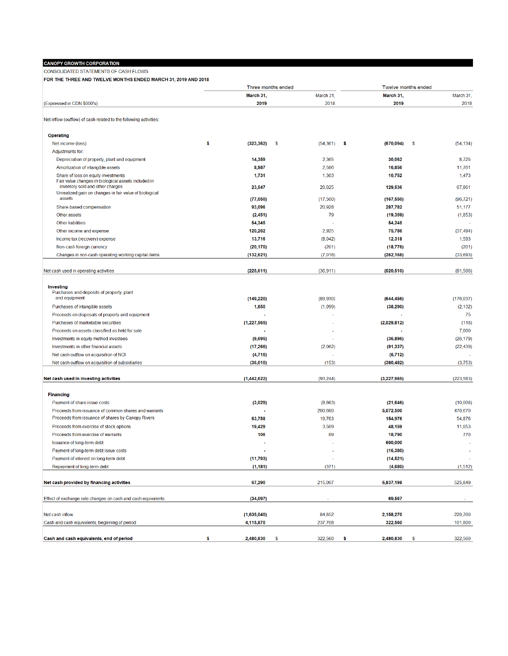## **CANOPY GROWTH CORPORATION**

CONSOLIDATED STATEMENTS OF CASH FLOWS FOR THE THREE AND TWELVE MONTHS ENDED MARCH 31, 2019 AND 2018

| FOR THE THREE AND TWEEVE MONTHS ENDED MARCH 3T.                                         |                    |              |           | Twelve months ended |             |    |            |  |
|-----------------------------------------------------------------------------------------|--------------------|--------------|-----------|---------------------|-------------|----|------------|--|
|                                                                                         | Three months ended |              |           |                     |             |    |            |  |
|                                                                                         | March 31,          | March 31.    |           |                     | March 31,   |    | March 31,  |  |
| (Expressed in CDN \$000's)                                                              | 2019               |              | 2018      |                     | 2019        |    | 2018       |  |
| Net inflow (outflow) of cash related to the following activities:                       |                    |              |           |                     |             |    |            |  |
| Operating                                                                               |                    |              |           |                     |             |    |            |  |
| Net income (loss)                                                                       | \$<br>(323, 362)   | S            | (54, 361) | -S                  | (670, 094)  | \$ | (54, 134)  |  |
| Adjustments for:                                                                        |                    |              |           |                     |             |    |            |  |
| Depreciation of property, plant and equipment                                           | 14,359             |              | 2,365     |                     | 30,062      |    | 8,725      |  |
| Amortization of intangible assets                                                       | 8,987              |              | 2,586     |                     | 16,856      |    | 11,761     |  |
| Share of loss on equity investments                                                     | 1,731              |              | 1,303     |                     | 10,752      |    | 1,473      |  |
| Fair value changes in biological assets included in<br>inventory sold and other charges |                    |              |           |                     |             |    |            |  |
| Unrealized gain on changes in fair value of biological                                  | 23,547             | 20,025       |           |                     | 129,536     |    | 67,861     |  |
| assets                                                                                  | (77,050)           | (17,500)     |           |                     | (167, 550)  |    | (96, 721)  |  |
| Share-based compensation                                                                | 93,096             | 20,928       |           |                     | 287,782     |    | 51,177     |  |
| Other assets                                                                            | (2, 451)           |              | 79        |                     | (19, 359)   |    | (1, 853)   |  |
| <b>Other liabilities</b>                                                                | 54,345             |              |           |                     | 54,345      |    |            |  |
| Other income and expense                                                                | 120,262            |              | 2,925     |                     | 75,786      |    | (37, 494)  |  |
| Income tax (recovery) expense                                                           | 13,716             |              | (8,042)   |                     | 12,318      |    | 1,593      |  |
| Non-cash foreign currency                                                               | (20, 170)          |              | (201)     |                     | (18, 776)   |    | (201)      |  |
| Changes in non-cash operating working capital items                                     | (132, 621)         |              | (7,018)   |                     | (262, 168)  |    | (33, 693)  |  |
|                                                                                         |                    |              |           |                     |             |    |            |  |
| Net cash used in operating activities                                                   | (225, 611)         | (36, 911)    |           |                     | (520, 510)  |    | (81, 506)  |  |
|                                                                                         |                    |              |           |                     |             |    |            |  |
| <b>Investing</b>                                                                        |                    |              |           |                     |             |    |            |  |
| Purchases and deposits of property, plant<br>and equipment                              | (149, 220)         | (89,930)     |           |                     | (644, 456)  |    | (176, 037) |  |
| Purchases of intangible assets                                                          | 1,850              |              | (1,099)   |                     | (38, 290)   |    | (2, 132)   |  |
|                                                                                         |                    |              |           |                     |             |    | 75         |  |
| Proceeds on disposals of property and equipment                                         |                    |              |           |                     |             |    |            |  |
| Purchases of marketable securities                                                      | (1, 227, 565)      |              |           |                     | (2,029,812) |    | (118)      |  |
| Proceeds on assets classified as held for sale                                          |                    |              |           |                     |             |    | 7,000      |  |
| Investments in equity method investees                                                  | (9,695)            |              |           |                     | (36, 896)   |    | (26, 179)  |  |
| Investments in other financial assets                                                   | (17, 266)          |              | (2,062)   |                     | (91, 337)   |    | (22, 439)  |  |
| Net cash outflow on acquisition of NCI                                                  | (4, 716)           |              |           |                     | (6, 712)    |    |            |  |
| Net cash outflow on acquisition of subsidiaries                                         | (36, 010)          |              | (153)     |                     | (380, 482)  |    | (3,753)    |  |
| Net cash used in investing activities                                                   | (1,442,622)        | (93, 244)    |           |                     | (3,227,985) |    | (223, 583) |  |
|                                                                                         |                    |              |           |                     |             |    |            |  |
| <b>Financing</b>                                                                        |                    |              |           |                     |             |    |            |  |
| Payment of share issue costs                                                            | (3,029)            |              | (8,663)   |                     | (21, 646)   |    | (10,008)   |  |
| Proceeds from issuance of common shares and warrants                                    |                    | 200,680      |           |                     | 5,072,500   |    | 470,670    |  |
| Proceeds from issuance of shares by Canopy Rivers                                       | 63,758             |              | 19,763    |                     | 154,976     |    | 54,876     |  |
| Proceeds from exercise of stock options                                                 | 19,429             |              | 3,509     |                     | 48,159      |    | 11,053     |  |
| Proceeds from exercise of warrants                                                      | 106                |              | 89        |                     | 18,790      |    | 770        |  |
| Issuance of long-term debt                                                              |                    |              |           |                     | 600,000     |    |            |  |
| Payment of long-term debt issue costs                                                   |                    |              |           |                     | (16, 380)   |    |            |  |
| Payment of interest on long-term debt                                                   | (11, 793)          |              |           |                     | (14, 521)   |    |            |  |
| Repayment of long-term debt                                                             | (1, 181)           |              | (371)     |                     | (4,680)     |    | (1, 512)   |  |
|                                                                                         |                    |              |           |                     |             |    |            |  |
| Net cash provided by financing activities                                               | 67,290             | 215,007      |           |                     | 5,837,198   |    | 525,849    |  |
|                                                                                         |                    |              |           |                     |             |    |            |  |
| Effect of exchange rate changes on cash and cash equivalents                            | (34,097)           |              |           |                     | 69,567      |    |            |  |
| Net cash inflow                                                                         | (1,635,040)        |              | 84,852    |                     | 2,158,270   |    | 220,760    |  |
| Cash and cash equivalents, beginning of period                                          | 4,115,870          | 237,708      |           |                     | 322,560     |    | 101,800    |  |
|                                                                                         |                    |              |           |                     |             |    |            |  |
| Cash and cash equivalents, end of period                                                | \$<br>2,480,830    | S<br>322,560 |           | s                   | 2,480,830   | \$ | 322,560    |  |